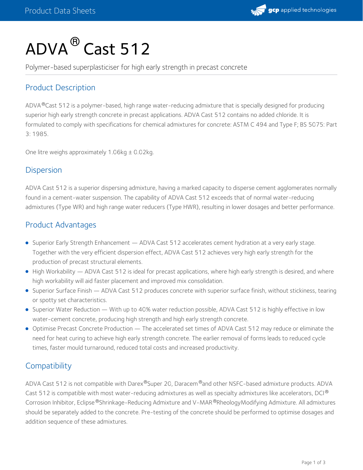

# $\mathsf{ADVA}^\circledR$  Cast 512

Polymer-based superplasticiser for high early strength in precast concrete

# Product Description

ADVA®Cast 512 is a polymer-based, high range water-reducing admixture that is specially designed for producing superior high early strength concrete in precast applications. ADVA Cast 512 contains no added chloride. It is formulated to comply with specifications for chemical admixtures for concrete: ASTM C 494 and Type F; BS 5075: Part 3: 1985.

One litre weighs approximately  $1.06$ kg  $\pm$  0.02kg.

#### **Dispersion**

ADVA Cast 512 is a superior dispersing admixture, having a marked capacity to disperse cement agglomerates normally found in a cement-water suspension. The capability of ADVA Cast 512 exceeds that of normal water-reducing admixtures (Type WR) and high range water reducers (Type HWR), resulting in lower dosages and better performance.

## Product Advantages

- Superior Early Strength Enhancement ADVA Cast 512 accelerates cement hydration at a very early stage. Together with the very efficient dispersion effect, ADVA Cast 512 achieves very high early strength for the production of precast structural elements.
- High Workability ADVA Cast 512 is ideal for precast applications, where high early strength is desired, and where high workability will aid faster placement and improved mix consolidation.
- Superior Surface Finish ADVA Cast 512 produces concrete with superior surface finish, without stickiness, tearing or spotty set characteristics.
- Superior Water Reduction With up to 40% water reduction possible, ADVA Cast 512 is highly effective in low water-cement concrete, producing high strength and high early strength concrete.
- Optimise Precast Concrete Production The accelerated set times of ADVA Cast 512 may reduce or eliminate the need for heat curing to achieve high early strength concrete. The earlier removal of forms leads to reduced cycle times, faster mould turnaround, reduced total costs and increased productivity.

## **Compatibility**

ADVA Cast 512 is not compatible with Darex®Super 20, Daracem®and other NSFC-based admixture products. ADVA Cast 512 is compatible with most water-reducing admixtures as well as specialty admixtures like accelerators, DCI  $^{\circledR}$ Corrosion Inhibitor, Eclipse®Shrinkage-Reducing Admixture and V-MAR®RheologyModifying Admixture. All admixtures should be separately added to the concrete. Pre-testing of the concrete should be performed to optimise dosages and addition sequence of these admixtures.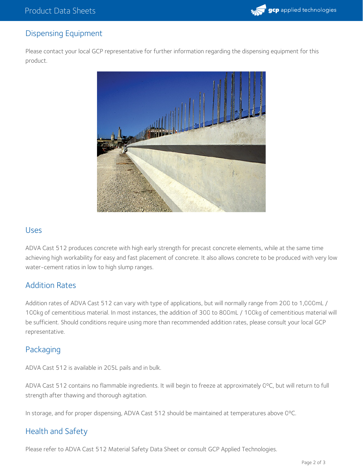

# Dispensing Equipment

Please contact your local GCP representative for further information regarding the dispensing equipment for this product.



#### Uses

ADVA Cast 512 produces concrete with high early strength for precast concrete elements, while at the same time achieving high workability for easy and fast placement of concrete. It also allows concrete to be produced with very low water-cement ratios in low to high slump ranges.

## Addition Rates

Addition rates of ADVA Cast 512 can vary with type of applications, but will normally range from 200 to 1,000mL / 100kg of cementitious material. In most instances, the addition of 300 to 800mL / 100kg of cementitious material will be sufficient. Should conditions require using more than recommended addition rates, please consult your local GCP representative.

## Packaging

ADVA Cast 512 is available in 205L pails and in bulk.

ADVA Cast 512 contains no flammable ingredients. It will begin to freeze at approximately 0ºC, but will return to full strength after thawing and thorough agitation.

In storage, and for proper dispensing, ADVA Cast 512 should be maintained at temperatures above 0ºC.

# Health and Safety

Please refer to ADVA Cast 512 Material Safety Data Sheet or consult GCP Applied Technologies.